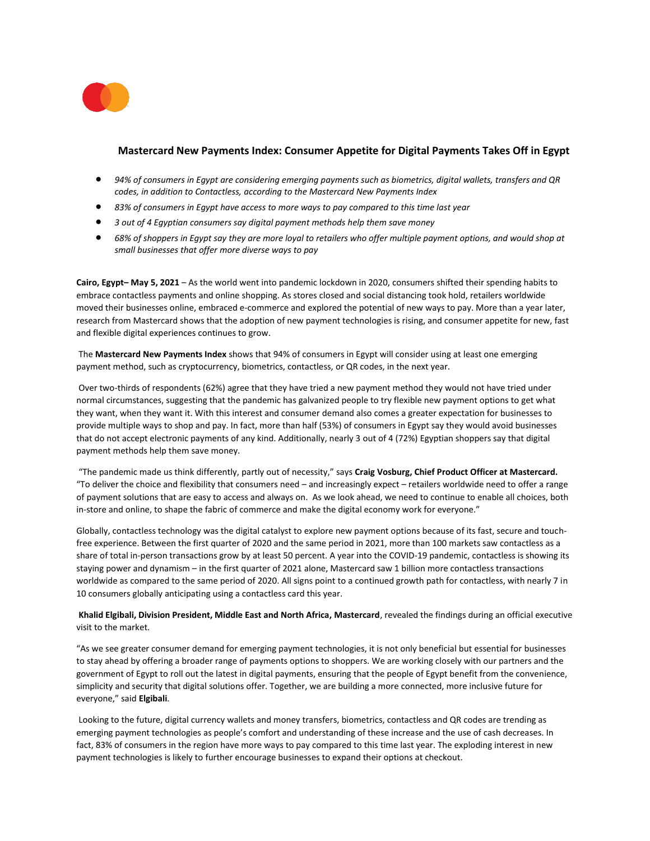

# **Mastercard New Payments Index: Consumer Appetite for Digital Payments Takes Off in Egypt**

- *94% of consumers in Egypt are considering emerging payments such as biometrics, digital wallets, transfers and QR codes, in addition to Contactless, according to the Mastercard New Payments Index*
- *83% of consumers in Egypt have access to more ways to pay compared to this time last year*
- *3 out of 4 Egyptian consumers say digital payment methods help them save money*
- *68% of shoppers in Egypt say they are more loyal to retailers who offer multiple payment options, and would shop at small businesses that offer more diverse ways to pay*

**Cairo, Egypt– May 5, 2021** – As the world went into pandemic lockdown in 2020, consumers shifted their spending habits to embrace contactless payments and online shopping. As stores closed and social distancing took hold, retailers worldwide moved their businesses online, embraced e-commerce and explored the potential of new ways to pay. More than a year later, research from Mastercard shows that the adoption of new payment technologies is rising, and consumer appetite for new, fast and flexible digital experiences continues to grow.

The **Mastercard New Payments Index** shows that 94% of consumers in Egypt will consider using at least one emerging payment method, such as cryptocurrency, biometrics, contactless, or QR codes, in the next year.

Over two-thirds of respondents (62%) agree that they have tried a new payment method they would not have tried under normal circumstances, suggesting that the pandemic has galvanized people to try flexible new payment options to get what they want, when they want it. With this interest and consumer demand also comes a greater expectation for businesses to provide multiple ways to shop and pay. In fact, more than half (53%) of consumers in Egypt say they would avoid businesses that do not accept electronic payments of any kind. Additionally, nearly 3 out of 4 (72%) Egyptian shoppers say that digital payment methods help them save money.

"The pandemic made us think differently, partly out of necessity," says **Craig Vosburg, Chief Product Officer at Mastercard.** "To deliver the choice and flexibility that consumers need – and increasingly expect – retailers worldwide need to offer a range of payment solutions that are easy to access and always on. As we look ahead, we need to continue to enable all choices, both in-store and online, to shape the fabric of commerce and make the digital economy work for everyone."

Globally, contactless technology was the digital catalyst to explore new payment options because of its fast, secure and touchfree experience. Between the first quarter of 2020 and the same period in 2021, more than 100 markets saw contactless as a share of total in-person transactions grow by at least 50 percent. A year into the COVID-19 pandemic, contactless is showing its staying power and dynamism – in the first quarter of 2021 alone, Mastercard saw 1 billion more contactless transactions worldwide as compared to the same period of 2020. All signs point to a continued growth path for contactless, with nearly 7 in 10 consumers globally anticipating using a contactless card this year.

## **Khalid Elgibali, Division President, Middle East and North Africa, Mastercard**, revealed the findings during an official executive visit to the market.

"As we see greater consumer demand for emerging payment technologies, it is not only beneficial but essential for businesses to stay ahead by offering a broader range of payments options to shoppers. We are working closely with our partners and the government of Egypt to roll out the latest in digital payments, ensuring that the people of Egypt benefit from the convenience, simplicity and security that digital solutions offer. Together, we are building a more connected, more inclusive future for everyone," said **Elgibali**.

Looking to the future, digital currency wallets and money transfers, biometrics, contactless and QR codes are trending as emerging payment technologies as people's comfort and understanding of these increase and the use of cash decreases. In fact, 83% of consumers in the region have more ways to pay compared to this time last year. The exploding interest in new payment technologies is likely to further encourage businesses to expand their options at checkout.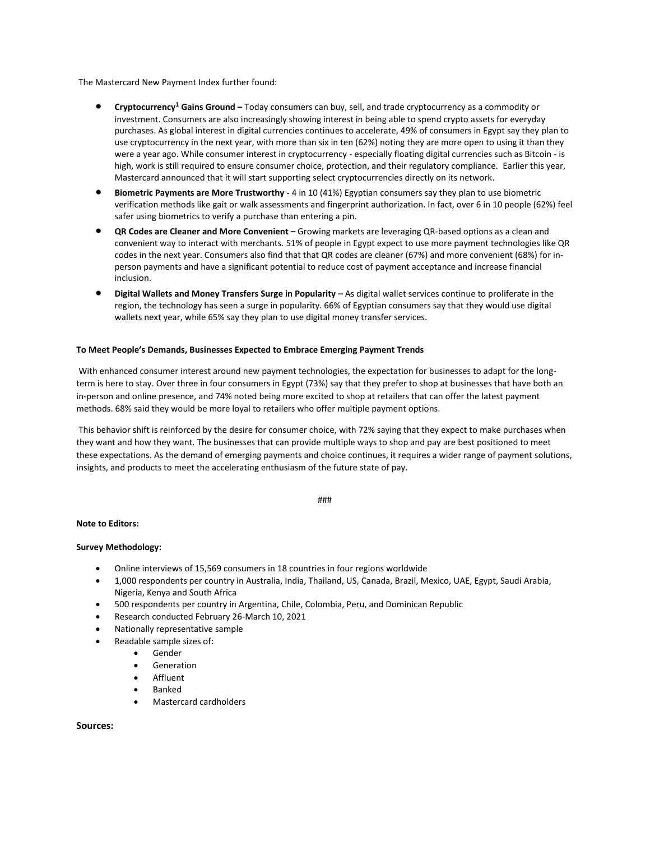The Mastercard New Payment Index further found:

- **Cryptocurrency<sup>1</sup> Gains Ground –** Today consumers can buy, sell, and trade cryptocurrency as a commodity or investment. Consumers are also increasingly showing interest in being able to spend crypto assets for everyday purchases. As global interest in digital currencies continues to accelerate, 49% of consumers in Egypt say they plan to use cryptocurrency in the next year, with more than six in ten (62%) noting they are more open to using it than they were a year ago. While consumer interest in cryptocurrency - especially floating digital currencies such as Bitcoin - is high, work is still required to ensure consumer choice, protection, and their regulatory compliance. Earlier this year, [Mastercard announced that it will start supporting select cryptocurrencies directly on its network.](https://urldefense.com/v3/__https:/www.mastercard.com/news/perspectives/2021/why-mastercard-is-bringing-crypto-onto-our-network/__;!!N96JrnIq8IfO5w!2xMeEhoZhFIi85WKiCpw-2xJhtdcMEb-gqtpINU8uUtsufMokXMT3Tm04maFjXrnr9-Lq64t$)
- **Biometric Payments are More Trustworthy -** 4 in 10 (41%) Egyptian consumers say they plan to use biometric verification methods like gait or walk assessments and fingerprint authorization. In fact, over 6 in 10 people (62%) feel safer using biometrics to verify a purchase than entering a pin.
- **QR Codes are Cleaner and More Convenient –** Growing markets are leveraging QR-based options as a clean and convenient way to interact with merchants. 51% of people in Egypt expect to use more payment technologies like QR codes in the next year. Consumers also find that that QR codes are cleaner (67%) and more convenient (68%) for inperson payments and have a significant potential to reduce cost of payment acceptance and increase financial inclusion.
- **Digital Wallets and Money Transfers Surge in Popularity As digital wallet services continue to proliferate in the** region, the technology has seen a surge in popularity. 66% of Egyptian consumers say that they would use digital wallets next year, while 65% say they plan to use digital money transfer services.

#### **To Meet People's Demands, Businesses Expected to Embrace Emerging Payment Trends**

With enhanced consumer interest around new payment technologies, the expectation for businesses to adapt for the longterm is here to stay. Over three in four consumers in Egypt (73%) say that they prefer to shop at businesses that have both an in-person and online presence, and 74% noted being more excited to shop at retailers that can offer the latest payment methods. 68% said they would be more loyal to retailers who offer multiple payment options.

This behavior shift is reinforced by the desire for consumer choice, with 72% saying that they expect to make purchases when they want and how they want. The businesses that can provide multiple ways to shop and pay are best positioned to meet these expectations. As the demand of emerging payments and choice continues, it requires a wider range of payment solutions, insights, and products to meet the accelerating enthusiasm of the future state of pay.

###

#### **Note to Editors:**

#### **Survey Methodology:**

- Online interviews of 15,569 consumers in 18 countries in four regions worldwide
- 1,000 respondents per country in Australia, India, Thailand, US, Canada, Brazil, Mexico, UAE, Egypt, Saudi Arabia, Nigeria, Kenya and South Africa
- 500 respondents per country in Argentina, Chile, Colombia, Peru, and Dominican Republic
- Research conducted February 26-March 10, 2021
- Nationally representative sample
	- Readable sample sizes of:
		- Gender
		- **Generation**
		- **Affluent**
		- Banked
		- Mastercard cardholders

**Sources:**